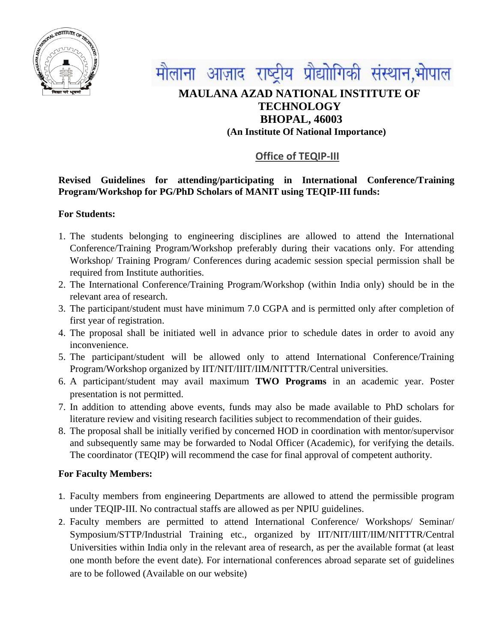



# **MAULANA AZAD NATIONAL INSTITUTE OF TECHNOLOGY BHOPAL, 46003 (An Institute Of National Importance)**

## **Office of TEQIP-III**

### **Revised Guidelines for attending/participating in International Conference/Training Program/Workshop for PG/PhD Scholars of MANIT using TEQIP-III funds:**

#### **For Students:**

- 1. The students belonging to engineering disciplines are allowed to attend the International Conference/Training Program/Workshop preferably during their vacations only. For attending Workshop/ Training Program/ Conferences during academic session special permission shall be required from Institute authorities.
- 2. The International Conference/Training Program/Workshop (within India only) should be in the relevant area of research.
- 3. The participant/student must have minimum 7.0 CGPA and is permitted only after completion of first year of registration.
- 4. The proposal shall be initiated well in advance prior to schedule dates in order to avoid any inconvenience.
- 5. The participant/student will be allowed only to attend International Conference/Training Program/Workshop organized by IIT/NIT/IIIT/IIM/NITTTR/Central universities.
- 6. A participant/student may avail maximum **TWO Programs** in an academic year. Poster presentation is not permitted.
- 7. In addition to attending above events, funds may also be made available to PhD scholars for literature review and visiting research facilities subject to recommendation of their guides.
- 8. The proposal shall be initially verified by concerned HOD in coordination with mentor/supervisor and subsequently same may be forwarded to Nodal Officer (Academic), for verifying the details. The coordinator (TEQIP) will recommend the case for final approval of competent authority.

#### **For Faculty Members:**

- 1. Faculty members from engineering Departments are allowed to attend the permissible program under TEQIP-III. No contractual staffs are allowed as per NPIU guidelines.
- 2. Faculty members are permitted to attend International Conference/ Workshops/ Seminar/ Symposium/STTP/Industrial Training etc., organized by IIT/NIT/IIIT/IIM/NITTTR/Central Universities within India only in the relevant area of research, as per the available format (at least one month before the event date). For international conferences abroad separate set of guidelines are to be followed (Available on our website)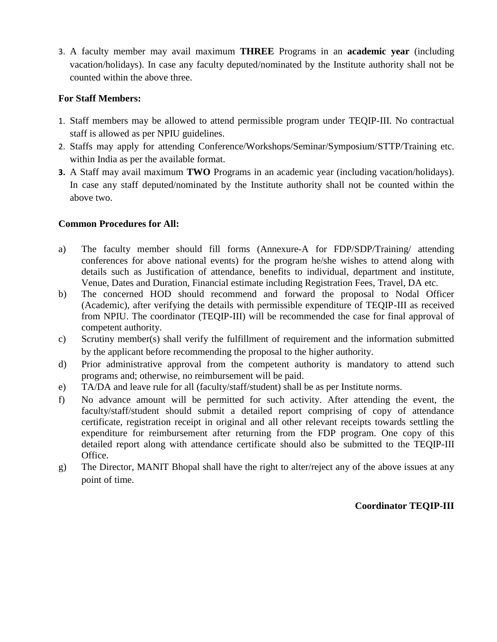3. A faculty member may avail maximum **THREE** Programs in an **academic year** (including vacation/holidays). In case any faculty deputed/nominated by the Institute authority shall not be counted within the above three.

#### **For Staff Members:**

- 1. Staff members may be allowed to attend permissible program under TEQIP-III. No contractual staff is allowed as per NPIU guidelines.
- 2. Staffs may apply for attending Conference/Workshops/Seminar/Symposium/STTP/Training etc. within India as per the available format.
- **3.** A Staff may avail maximum **TWO** Programs in an academic year (including vacation/holidays). In case any staff deputed/nominated by the Institute authority shall not be counted within the above two.

## **Common Procedures for All:**

- a) The faculty member should fill forms (Annexure-A for FDP/SDP/Training/ attending conferences for above national events) for the program he/she wishes to attend along with details such as Justification of attendance, benefits to individual, department and institute, Venue, Dates and Duration, Financial estimate including Registration Fees, Travel, DA etc.
- b) The concerned HOD should recommend and forward the proposal to Nodal Officer (Academic), after verifying the details with permissible expenditure of TEQIP-III as received from NPIU. The coordinator (TEQIP-III) will be recommended the case for final approval of competent authority.
- c) Scrutiny member(s) shall verify the fulfillment of requirement and the information submitted by the applicant before recommending the proposal to the higher authority.
- d) Prior administrative approval from the competent authority is mandatory to attend such programs and; otherwise, no reimbursement will be paid.
- e) TA/DA and leave rule for all (faculty/staff/student) shall be as per Institute norms.
- f) No advance amount will be permitted for such activity. After attending the event, the faculty/staff/student should submit a detailed report comprising of copy of attendance certificate, registration receipt in original and all other relevant receipts towards settling the expenditure for reimbursement after returning from the FDP program. One copy of this detailed report along with attendance certificate should also be submitted to the TEQIP-III Office.
- g) The Director, MANIT Bhopal shall have the right to alter/reject any of the above issues at any point of time.

## **Coordinator TEQIP-III**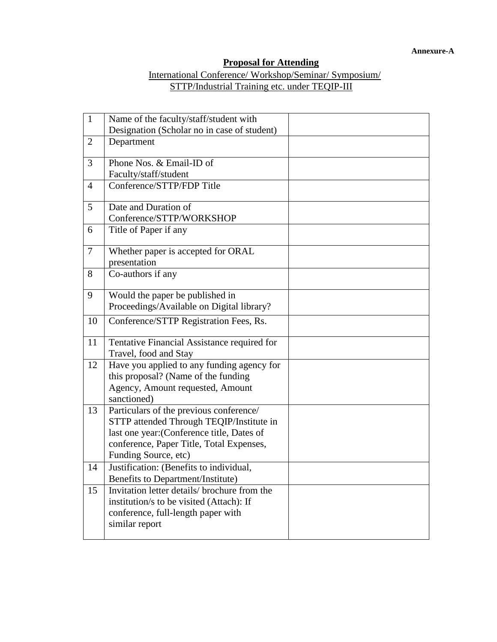## **Proposal for Attending**

#### International Conference/ Workshop/Seminar/ Symposium/ STTP/Industrial Training etc. under TEQIP-III

| $\mathbf{1}$   | Name of the faculty/staff/student with                                              |  |
|----------------|-------------------------------------------------------------------------------------|--|
| $\overline{2}$ | Designation (Scholar no in case of student)<br>Department                           |  |
|                |                                                                                     |  |
| 3              | Phone Nos. & Email-ID of                                                            |  |
|                | Faculty/staff/student                                                               |  |
| $\overline{4}$ | Conference/STTP/FDP Title                                                           |  |
| 5              | Date and Duration of                                                                |  |
|                | Conference/STTP/WORKSHOP                                                            |  |
| 6              | Title of Paper if any                                                               |  |
| $\overline{7}$ | Whether paper is accepted for ORAL                                                  |  |
|                | presentation                                                                        |  |
| 8              | Co-authors if any                                                                   |  |
| 9              | Would the paper be published in                                                     |  |
|                | Proceedings/Available on Digital library?                                           |  |
| 10             | Conference/STTP Registration Fees, Rs.                                              |  |
| 11             | Tentative Financial Assistance required for                                         |  |
|                | Travel, food and Stay                                                               |  |
| 12             | Have you applied to any funding agency for                                          |  |
|                | this proposal? (Name of the funding                                                 |  |
|                | Agency, Amount requested, Amount                                                    |  |
|                | sanctioned)                                                                         |  |
| 13             | Particulars of the previous conference/<br>STTP attended Through TEQIP/Institute in |  |
|                | last one year: (Conference title, Dates of                                          |  |
|                | conference, Paper Title, Total Expenses,                                            |  |
|                | Funding Source, etc)                                                                |  |
| 14             | Justification: (Benefits to individual,                                             |  |
|                | Benefits to Department/Institute)                                                   |  |
| 15             | Invitation letter details/ brochure from the                                        |  |
|                | institution/s to be visited (Attach): If                                            |  |
|                | conference, full-length paper with                                                  |  |
|                | similar report                                                                      |  |
|                |                                                                                     |  |